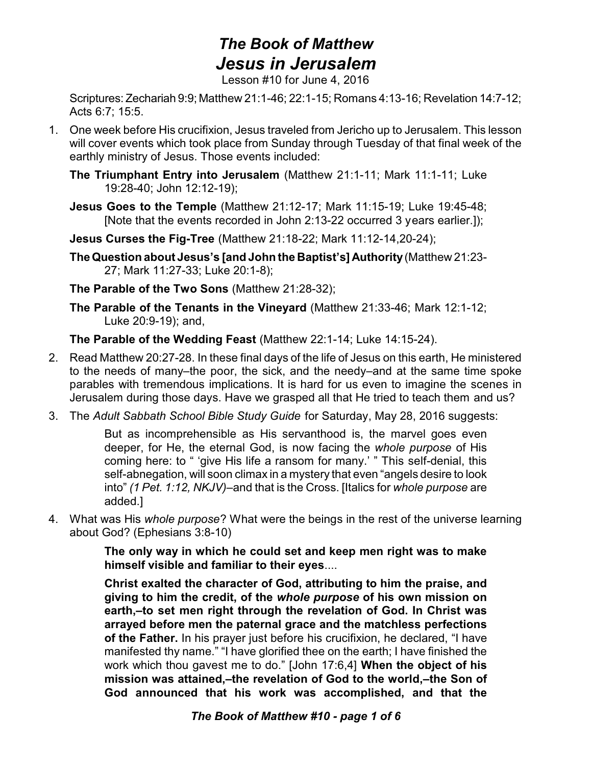## *The Book of Matthew Jesus in Jerusalem*

Lesson #10 for June 4, 2016

Scriptures:Zechariah 9:9; Matthew 21:1-46; 22:1-15; Romans 4:13-16; Revelation 14:7-12; Acts 6:7; 15:5.

- 1. One week before His crucifixion, Jesus traveled from Jericho up to Jerusalem. This lesson will cover events which took place from Sunday through Tuesday of that final week of the earthly ministry of Jesus. Those events included:
	- **The Triumphant Entry into Jerusalem** (Matthew 21:1-11; Mark 11:1-11; Luke 19:28-40; John 12:12-19);
	- **Jesus Goes to the Temple** (Matthew 21:12-17; Mark 11:15-19; Luke 19:45-48; [Note that the events recorded in John 2:13-22 occurred 3 years earlier.]);
	- **Jesus Curses the Fig-Tree** (Matthew 21:18-22; Mark 11:12-14,20-24);
	- **TheQuestion about Jesus's [and John the Baptist's] Authority**(Matthew 21:23- 27; Mark 11:27-33; Luke 20:1-8);

**The Parable of the Two Sons** (Matthew 21:28-32);

**The Parable of the Tenants in the Vineyard** (Matthew 21:33-46; Mark 12:1-12; Luke 20:9-19); and,

**The Parable of the Wedding Feast** (Matthew 22:1-14; Luke 14:15-24).

- 2. Read Matthew 20:27-28. In these final days of the life of Jesus on this earth, He ministered to the needs of many–the poor, the sick, and the needy–and at the same time spoke parables with tremendous implications. It is hard for us even to imagine the scenes in Jerusalem during those days. Have we grasped all that He tried to teach them and us?
- 3. The *Adult Sabbath School Bible Study Guide* for Saturday, May 28, 2016 suggests:

But as incomprehensible as His servanthood is, the marvel goes even deeper, for He, the eternal God, is now facing the *whole purpose* of His coming here: to " 'give His life a ransom for many.' " This self-denial, this self-abnegation, will soon climax in a mystery that even "angels desire to look into" *(1 Pet. 1:12, NKJV)*–and that is the Cross. [Italics for *whole purpose* are added.]

4. What was His *whole purpose*? What were the beings in the rest of the universe learning about God? (Ephesians 3:8-10)

> **The only way in which he could set and keep men right was to make himself visible and familiar to their eyes**....

> **Christ exalted the character of God, attributing to him the praise, and giving to him the credit, of the** *whole purpose* **of his own mission on earth,–to set men right through the revelation of God. In Christ was arrayed before men the paternal grace and the matchless perfections of the Father.** In his prayer just before his crucifixion, he declared, "I have manifested thy name." "I have glorified thee on the earth; I have finished the work which thou gavest me to do." [John 17:6,4] **When the object of his mission was attained,–the revelation of God to the world,–the Son of God announced that his work was accomplished, and that the**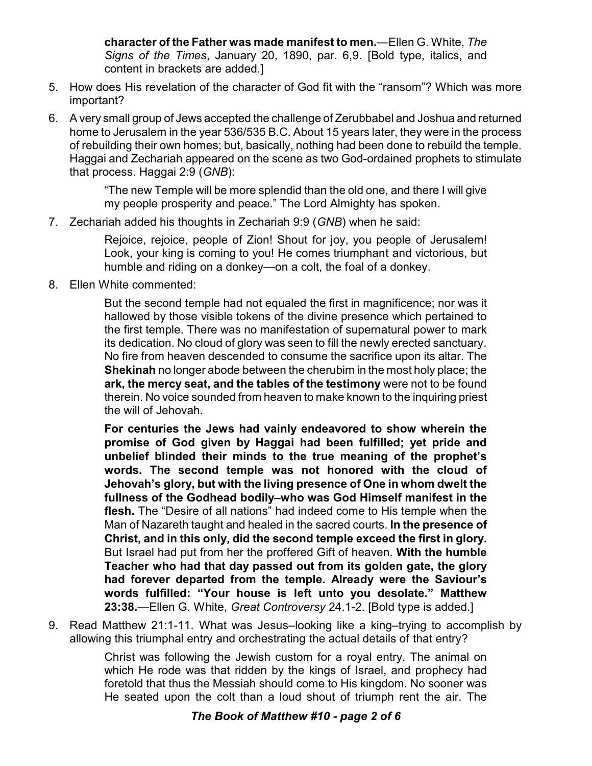**character of the Father was made manifest to men.**—Ellen G. White, *The Signs of the Times*, January 20, 1890, par. 6,9. [Bold type, italics, and content in brackets are added.]

- 5. How does His revelation of the character of God fit with the "ransom"? Which was more important?
- 6. A very small group of Jews accepted the challenge of Zerubbabel and Joshua and returned home to Jerusalem in the year 536/535 B.C. About 15 years later, they were in the process of rebuilding their own homes; but, basically, nothing had been done to rebuild the temple. Haggai and Zechariah appeared on the scene as two God-ordained prophets to stimulate that process. Haggai 2:9 (*GNB*):

"The new Temple will be more splendid than the old one, and there I will give my people prosperity and peace." The Lord Almighty has spoken.

7. Zechariah added his thoughts in Zechariah 9:9 (*GNB*) when he said:

Rejoice, rejoice, people of Zion! Shout for joy, you people of Jerusalem! Look, your king is coming to you! He comes triumphant and victorious, but humble and riding on a donkey—on a colt, the foal of a donkey.

8. Ellen White commented:

But the second temple had not equaled the first in magnificence; nor was it hallowed by those visible tokens of the divine presence which pertained to the first temple. There was no manifestation of supernatural power to mark its dedication. No cloud of glory was seen to fill the newly erected sanctuary. No fire from heaven descended to consume the sacrifice upon its altar. The **Shekinah** no longer abode between the cherubim in the most holy place; the **ark, the mercy seat, and the tables of the testimony** were not to be found therein. No voice sounded from heaven to make known to the inquiring priest the will of Jehovah.

**For centuries the Jews had vainly endeavored to show wherein the promise of God given by Haggai had been fulfilled; yet pride and unbelief blinded their minds to the true meaning of the prophet's words. The second temple was not honored with the cloud of Jehovah's glory, but with the living presence of One in whom dwelt the fullness of the Godhead bodily–who was God Himself manifest in the flesh.** The "Desire of all nations" had indeed come to His temple when the Man of Nazareth taught and healed in the sacred courts. **In the presence of Christ, and in this only, did the second temple exceed the first in glory.** But Israel had put from her the proffered Gift of heaven. **With the humble Teacher who had that day passed out from its golden gate, the glory had forever departed from the temple. Already were the Saviour's words fulfilled: "Your house is left unto you desolate." Matthew 23:38.**—Ellen G. White, *Great Controversy* 24.1-2. [Bold type is added.]

9. Read Matthew 21:1-11. What was Jesus–looking like a king–trying to accomplish by allowing this triumphal entry and orchestrating the actual details of that entry?

> Christ was following the Jewish custom for a royal entry. The animal on which He rode was that ridden by the kings of Israel, and prophecy had foretold that thus the Messiah should come to His kingdom. No sooner was He seated upon the colt than a loud shout of triumph rent the air. The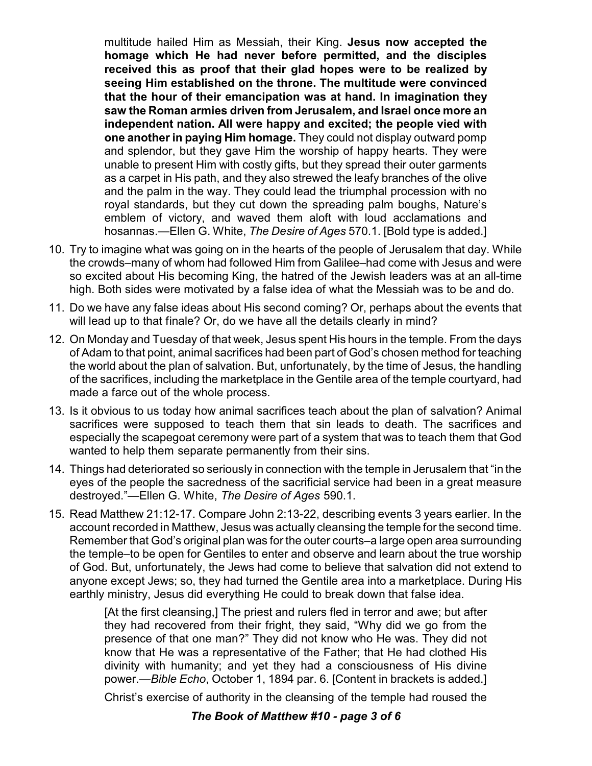multitude hailed Him as Messiah, their King. **Jesus now accepted the homage which He had never before permitted, and the disciples received this as proof that their glad hopes were to be realized by seeing Him established on the throne. The multitude were convinced that the hour of their emancipation was at hand. In imagination they saw the Roman armies driven from Jerusalem, and Israel once more an independent nation. All were happy and excited; the people vied with one another in paying Him homage.** They could not display outward pomp and splendor, but they gave Him the worship of happy hearts. They were unable to present Him with costly gifts, but they spread their outer garments as a carpet in His path, and they also strewed the leafy branches of the olive and the palm in the way. They could lead the triumphal procession with no royal standards, but they cut down the spreading palm boughs, Nature's emblem of victory, and waved them aloft with loud acclamations and hosannas.—Ellen G. White, *The Desire of Ages* 570.1. [Bold type is added.]

- 10. Try to imagine what was going on in the hearts of the people of Jerusalem that day. While the crowds–many of whom had followed Him from Galilee–had come with Jesus and were so excited about His becoming King, the hatred of the Jewish leaders was at an all-time high. Both sides were motivated by a false idea of what the Messiah was to be and do.
- 11. Do we have any false ideas about His second coming? Or, perhaps about the events that will lead up to that finale? Or, do we have all the details clearly in mind?
- 12. On Monday and Tuesday of that week, Jesus spent His hours in the temple. From the days of Adam to that point, animal sacrifices had been part of God's chosen method for teaching the world about the plan of salvation. But, unfortunately, by the time of Jesus, the handling of the sacrifices, including the marketplace in the Gentile area of the temple courtyard, had made a farce out of the whole process.
- 13. Is it obvious to us today how animal sacrifices teach about the plan of salvation? Animal sacrifices were supposed to teach them that sin leads to death. The sacrifices and especially the scapegoat ceremony were part of a system that was to teach them that God wanted to help them separate permanently from their sins.
- 14. Things had deteriorated so seriously in connection with the temple in Jerusalem that "in the eyes of the people the sacredness of the sacrificial service had been in a great measure destroyed."—Ellen G. White, *The Desire of Ages* 590.1.
- 15. Read Matthew 21:12-17. Compare John 2:13-22, describing events 3 years earlier. In the account recorded in Matthew, Jesus was actually cleansing the temple for the second time. Remember that God's original plan was for the outer courts–a large open area surrounding the temple–to be open for Gentiles to enter and observe and learn about the true worship of God. But, unfortunately, the Jews had come to believe that salvation did not extend to anyone except Jews; so, they had turned the Gentile area into a marketplace. During His earthly ministry, Jesus did everything He could to break down that false idea.

[At the first cleansing,] The priest and rulers fled in terror and awe; but after they had recovered from their fright, they said, "Why did we go from the presence of that one man?" They did not know who He was. They did not know that He was a representative of the Father; that He had clothed His divinity with humanity; and yet they had a consciousness of His divine power.—*Bible Echo*, October 1, 1894 par. 6. [Content in brackets is added.]

Christ's exercise of authority in the cleansing of the temple had roused the

## *The Book of Matthew #10 - page 3 of 6*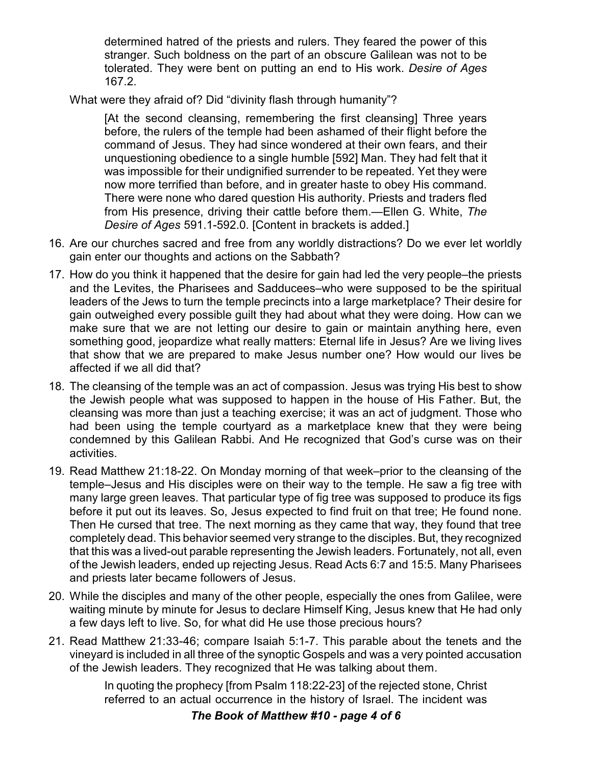determined hatred of the priests and rulers. They feared the power of this stranger. Such boldness on the part of an obscure Galilean was not to be tolerated. They were bent on putting an end to His work. *Desire of Ages* 167.2.

What were they afraid of? Did "divinity flash through humanity"?

[At the second cleansing, remembering the first cleansing] Three years before, the rulers of the temple had been ashamed of their flight before the command of Jesus. They had since wondered at their own fears, and their unquestioning obedience to a single humble [592] Man. They had felt that it was impossible for their undignified surrender to be repeated. Yet they were now more terrified than before, and in greater haste to obey His command. There were none who dared question His authority. Priests and traders fled from His presence, driving their cattle before them.—Ellen G. White, *The Desire of Ages* 591.1-592.0. [Content in brackets is added.]

- 16. Are our churches sacred and free from any worldly distractions? Do we ever let worldly gain enter our thoughts and actions on the Sabbath?
- 17. How do you think it happened that the desire for gain had led the very people–the priests and the Levites, the Pharisees and Sadducees–who were supposed to be the spiritual leaders of the Jews to turn the temple precincts into a large marketplace? Their desire for gain outweighed every possible guilt they had about what they were doing. How can we make sure that we are not letting our desire to gain or maintain anything here, even something good, jeopardize what really matters: Eternal life in Jesus? Are we living lives that show that we are prepared to make Jesus number one? How would our lives be affected if we all did that?
- 18. The cleansing of the temple was an act of compassion. Jesus was trying His best to show the Jewish people what was supposed to happen in the house of His Father. But, the cleansing was more than just a teaching exercise; it was an act of judgment. Those who had been using the temple courtyard as a marketplace knew that they were being condemned by this Galilean Rabbi. And He recognized that God's curse was on their activities.
- 19. Read Matthew 21:18-22. On Monday morning of that week–prior to the cleansing of the temple–Jesus and His disciples were on their way to the temple. He saw a fig tree with many large green leaves. That particular type of fig tree was supposed to produce its figs before it put out its leaves. So, Jesus expected to find fruit on that tree; He found none. Then He cursed that tree. The next morning as they came that way, they found that tree completely dead. This behavior seemed very strange to the disciples. But, they recognized that this was a lived-out parable representing the Jewish leaders. Fortunately, not all, even of the Jewish leaders, ended up rejecting Jesus. Read Acts 6:7 and 15:5. Many Pharisees and priests later became followers of Jesus.
- 20. While the disciples and many of the other people, especially the ones from Galilee, were waiting minute by minute for Jesus to declare Himself King, Jesus knew that He had only a few days left to live. So, for what did He use those precious hours?
- 21. Read Matthew 21:33-46; compare Isaiah 5:1-7. This parable about the tenets and the vineyard is included in all three of the synoptic Gospels and was a very pointed accusation of the Jewish leaders. They recognized that He was talking about them.

In quoting the prophecy [from Psalm 118:22-23] of the rejected stone, Christ referred to an actual occurrence in the history of Israel. The incident was

*The Book of Matthew #10 - page 4 of 6*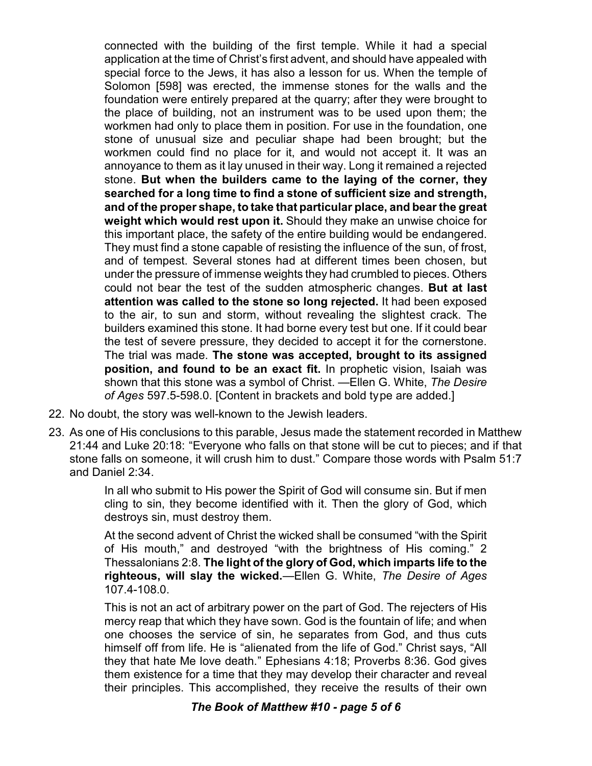connected with the building of the first temple. While it had a special application at the time of Christ's first advent, and should have appealed with special force to the Jews, it has also a lesson for us. When the temple of Solomon [598] was erected, the immense stones for the walls and the foundation were entirely prepared at the quarry; after they were brought to the place of building, not an instrument was to be used upon them; the workmen had only to place them in position. For use in the foundation, one stone of unusual size and peculiar shape had been brought; but the workmen could find no place for it, and would not accept it. It was an annoyance to them as it lay unused in their way. Long it remained a rejected stone. **But when the builders came to the laying of the corner, they searched for a long time to find a stone of sufficient size and strength, and of the proper shape, to take that particular place, and bear the great weight which would rest upon it.** Should they make an unwise choice for this important place, the safety of the entire building would be endangered. They must find a stone capable of resisting the influence of the sun, of frost, and of tempest. Several stones had at different times been chosen, but under the pressure of immense weights they had crumbled to pieces. Others could not bear the test of the sudden atmospheric changes. **But at last attention was called to the stone so long rejected.** It had been exposed to the air, to sun and storm, without revealing the slightest crack. The builders examined this stone. It had borne every test but one. If it could bear the test of severe pressure, they decided to accept it for the cornerstone. The trial was made. **The stone was accepted, brought to its assigned position, and found to be an exact fit.** In prophetic vision, Isaiah was shown that this stone was a symbol of Christ. —Ellen G. White, *The Desire of Ages* 597.5-598.0. [Content in brackets and bold type are added.]

- 22. No doubt, the story was well-known to the Jewish leaders.
- 23. As one of His conclusions to this parable, Jesus made the statement recorded in Matthew 21:44 and Luke 20:18: "Everyone who falls on that stone will be cut to pieces; and if that stone falls on someone, it will crush him to dust." Compare those words with Psalm 51:7 and Daniel 2:34.

In all who submit to His power the Spirit of God will consume sin. But if men cling to sin, they become identified with it. Then the glory of God, which destroys sin, must destroy them.

At the second advent of Christ the wicked shall be consumed "with the Spirit of His mouth," and destroyed "with the brightness of His coming." 2 Thessalonians 2:8. **The light of the glory of God, which imparts life to the righteous, will slay the wicked.**—Ellen G. White, *The Desire of Ages* 107.4-108.0.

This is not an act of arbitrary power on the part of God. The rejecters of His mercy reap that which they have sown. God is the fountain of life; and when one chooses the service of sin, he separates from God, and thus cuts himself off from life. He is "alienated from the life of God." Christ says, "All they that hate Me love death." Ephesians 4:18; Proverbs 8:36. God gives them existence for a time that they may develop their character and reveal their principles. This accomplished, they receive the results of their own

## *The Book of Matthew #10 - page 5 of 6*